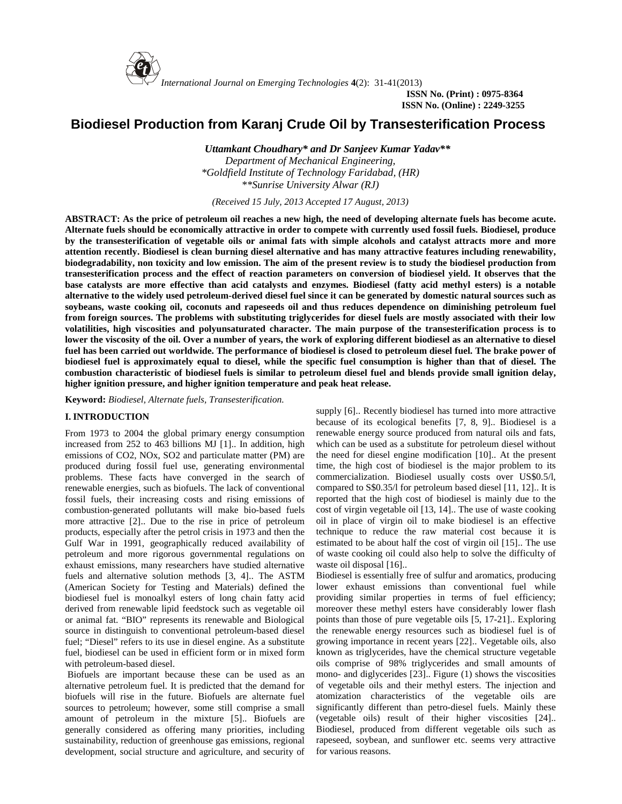

*International Journal on Emerging Technologies* **4**(2): 31-41(2013)

**ISSN No. (Print) : 0975-8364 ISSN No. (Online) : 2249-3255**

# **Biodiesel Production from Karanj Crude Oil by Transesterification Process**

*Uttamkant Choudhary\* and Dr Sanjeev Kumar Yadav\*\* Department of Mechanical Engineering, \*Goldfield Institute of Technology Faridabad, (HR) \*\*Sunrise University Alwar (RJ)*

*(Received 15 July, 2013 Accepted 17 August, 2013)*

**ABSTRACT: As the price of petroleum oil reaches a new high, the need of developing alternate fuels has become acute. Alternate fuels should be economically attractive in order to compete with currently used fossil fuels. Biodiesel, produce by the transesterification of vegetable oils or animal fats with simple alcohols and catalyst attracts more and more attention recently. Biodiesel is clean burning diesel alternative and has many attractive features including renewability, biodegradability, non toxicity and low emission. The aim of the present review is to study the biodiesel production from transesterification process and the effect of reaction parameters on conversion of biodiesel yield. It observes that the base catalysts are more effective than acid catalysts and enzymes. Biodiesel (fatty acid methyl esters) is a notable alternative to the widely used petroleum-derived diesel fuel since it can be generated by domestic natural sources such as soybeans, waste cooking oil, coconuts and rapeseeds oil and thus reduces dependence on diminishing petroleum fuel from foreign sources. The problems with substituting triglycerides for diesel fuels are mostly associated with their low volatilities, high viscosities and polyunsaturated character. The main purpose of the transesterification process is to lower the viscosity of the oil. Over a number of years, the work of exploring different biodiesel as an alternative to diesel fuel has been carried out worldwide. The performance of biodiesel is closed to petroleum diesel fuel. The brake power of biodiesel fuel is approximately equal to diesel, while the specific fuel consumption is higher than that of diesel. The combustion characteristic of biodiesel fuels is similar to petroleum diesel fuel and blends provide small ignition delay, higher ignition pressure, and higher ignition temperature and peak heat release.**

**Keyword:** *Biodiesel, Alternate fuels, Transesterification.*

# **I. INTRODUCTION**

From 1973 to 2004 the global primary energy consumption increased from 252 to 463 billions MJ [1].. In addition, high emissions of CO2, NOx, SO2 and particulate matter (PM) are produced during fossil fuel use, generating environmental problems. These facts have converged in the search of renewable energies, such as biofuels. The lack of conventional fossil fuels, their increasing costs and rising emissions of combustion-generated pollutants will make bio-based fuels more attractive [2].. Due to the rise in price of petroleum products, especially after the petrol crisis in 1973 and then the Gulf War in 1991, geographically reduced availability of petroleum and more rigorous governmental regulations on exhaust emissions, many researchers have studied alternative fuels and alternative solution methods [3, 4].. The ASTM (American Society for Testing and Materials) defined the biodiesel fuel is monoalkyl esters of long chain fatty acid derived from renewable lipid feedstock such as vegetable oil or animal fat. "BIO" represents its renewable and Biological source in distinguish to conventional petroleum-based diesel fuel; "Diesel" refers to its use in diesel engine. As a substitute fuel, biodiesel can be used in efficient form or in mixed form with petroleum-based diesel.

Biofuels are important because these can be used as an alternative petroleum fuel. It is predicted that the demand for biofuels will rise in the future. Biofuels are alternate fuel sources to petroleum; however, some still comprise a small amount of petroleum in the mixture [5].. Biofuels are generally considered as offering many priorities, including sustainability, reduction of greenhouse gas emissions, regional development, social structure and agriculture, and security of

supply [6].. Recently biodiesel has turned into more attractive because of its ecological benefits [7, 8, 9].. Biodiesel is a renewable energy source produced from natural oils and fats, which can be used as a substitute for petroleum diesel without the need for diesel engine modification [10].. At the present time, the high cost of biodiesel is the major problem to its commercialization. Biodiesel usually costs over US\$0.5/l, compared to S\$0.35/l for petroleum based diesel [11, 12].. It is reported that the high cost of biodiesel is mainly due to the cost of virgin vegetable oil [13, 14].. The use of waste cooking oil in place of virgin oil to make biodiesel is an effective technique to reduce the raw material cost because it is estimated to be about half the cost of virgin oil [15].. The use of waste cooking oil could also help to solve the difficulty of waste oil disposal [16]..

Biodiesel is essentially free of sulfur and aromatics, producing lower exhaust emissions than conventional fuel while providing similar properties in terms of fuel efficiency; moreover these methyl esters have considerably lower flash points than those of pure vegetable oils [5, 17-21].. Exploring the renewable energy resources such as biodiesel fuel is of growing importance in recent years [22].. Vegetable oils, also known as triglycerides, have the chemical structure vegetable oils comprise of 98% triglycerides and small amounts of mono- and diglycerides [23].. Figure (1) shows the viscosities of vegetable oils and their methyl esters. The injection and atomization characteristics of the vegetable oils are significantly different than petro-diesel fuels. Mainly these (vegetable oils) result of their higher viscosities [24].. Biodiesel, produced from different vegetable oils such as rapeseed, soybean, and sunflower etc. seems very attractive for various reasons.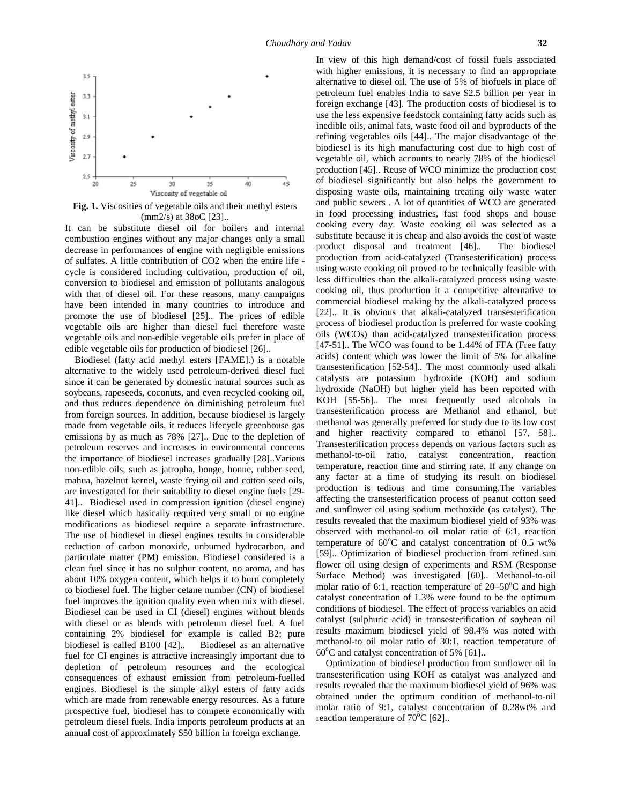

**Fig. 1.** Viscosities of vegetable oils and their methyl esters (mm2/s) at 38oC [23]..

It can be substitute diesel oil for boilers and internal combustion engines without any major changes only a small decrease in performances of engine with negligible emissions of sulfates. A little contribution of CO2 when the entire life cycle is considered including cultivation, production of oil, conversion to biodiesel and emission of pollutants analogous with that of diesel oil. For these reasons, many campaigns have been intended in many countries to introduce and promote the use of biodiesel [25].. The prices of edible vegetable oils are higher than diesel fuel therefore waste vegetable oils and non-edible vegetable oils prefer in place of edible vegetable oils for production of biodiesel [26]..

Biodiesel (fatty acid methyl esters [FAME].) is a notable alternative to the widely used petroleum-derived diesel fuel since it can be generated by domestic natural sources such as soybeans, rapeseeds, coconuts, and even recycled cooking oil, and thus reduces dependence on diminishing petroleum fuel from foreign sources. In addition, because biodiesel is largely made from vegetable oils, it reduces lifecycle greenhouse gas emissions by as much as 78% [27].. Due to the depletion of petroleum reserves and increases in environmental concerns the importance of biodiesel increases gradually [28]..Various non-edible oils, such as jatropha, honge, honne, rubber seed, mahua, hazelnut kernel, waste frying oil and cotton seed oils, are investigated for their suitability to diesel engine fuels [29- 41].. Biodiesel used in compression ignition (diesel engine) like diesel which basically required very small or no engine modifications as biodiesel require a separate infrastructure. The use of biodiesel in diesel engines results in considerable reduction of carbon monoxide, unburned hydrocarbon, and particulate matter (PM) emission. Biodiesel considered is a clean fuel since it has no sulphur content, no aroma, and has about 10% oxygen content, which helps it to burn completely to biodiesel fuel. The higher cetane number (CN) of biodiesel fuel improves the ignition quality even when mix with diesel. Biodiesel can be used in CI (diesel) engines without blends with diesel or as blends with petroleum diesel fuel. A fuel containing 2% biodiesel for example is called B2; pure biodiesel is called B100 [42].. Biodiesel as an alternative fuel for CI engines is attractive increasingly important due to depletion of petroleum resources and the ecological consequences of exhaust emission from petroleum-fuelled engines. Biodiesel is the simple alkyl esters of fatty acids which are made from renewable energy resources. As a future prospective fuel, biodiesel has to compete economically with petroleum diesel fuels. India imports petroleum products at an annual cost of approximately \$50 billion in foreign exchange.

In view of this high demand/cost of fossil fuels associated with higher emissions, it is necessary to find an appropriate alternative to diesel oil. The use of 5% of biofuels in place of petroleum fuel enables India to save \$2.5 billion per year in foreign exchange [43]. The production costs of biodiesel is to use the less expensive feedstock containing fatty acids such as inedible oils, animal fats, waste food oil and byproducts of the refining vegetables oils [44].. The major disadvantage of the biodiesel is its high manufacturing cost due to high cost of vegetable oil, which accounts to nearly 78% of the biodiesel production [45].. Reuse of WCO minimize the production cost of biodiesel significantly but also helps the government to disposing waste oils, maintaining treating oily waste water and public sewers . A lot of quantities of WCO are generated in food processing industries, fast food shops and house cooking every day. Waste cooking oil was selected as a substitute because it is cheap and also avoids the cost of waste product disposal and treatment [46].. The biodiesel production from acid-catalyzed (Transesterification) process using waste cooking oil proved to be technically feasible with less difficulties than the alkali-catalyzed process using waste cooking oil, thus production it a competitive alternative to commercial biodiesel making by the alkali-catalyzed process [22].. It is obvious that alkali-catalyzed transesterification process of biodiesel production is preferred for waste cooking oils (WCOs) than acid-catalyzed transesterification process [47-51].. The WCO was found to be 1.44% of FFA (Free fatty acids) content which was lower the limit of 5% for alkaline transesterification [52-54].. The most commonly used alkali catalysts are potassium hydroxide (KOH) and sodium hydroxide (NaOH) but higher yield has been reported with KOH [55-56].. The most frequently used alcohols in transesterification process are Methanol and ethanol, but methanol was generally preferred for study due to its low cost and higher reactivity compared to ethanol [57, 58].. Transesterification process depends on various factors such as methanol-to-oil ratio, catalyst concentration, reaction temperature, reaction time and stirring rate. If any change on any factor at a time of studying its result on biodiesel production is tedious and time consuming.The variables affecting the transesterification process of peanut cotton seed and sunflower oil using sodium methoxide (as catalyst). The results revealed that the maximum biodiesel yield of 93% was observed with methanol-to oil molar ratio of 6:1, reaction temperature of  $60^{\circ}$ C and catalyst concentration of 0.5 wt% [59].. Optimization of biodiesel production from refined sun flower oil using design of experiments and RSM (Response Surface Method) was investigated [60].. Methanol-to-oil molar ratio of 6:1, reaction temperature of  $20-50^{\circ}$ C and high catalyst concentration of 1.3% were found to be the optimum conditions of biodiesel. The effect of process variables on acid catalyst (sulphuric acid) in transesterification of soybean oil results maximum biodiesel yield of 98.4% was noted with methanol-to oil molar ratio of 30:1, reaction temperature of  $60^{\circ}$ C and catalyst concentration of 5% [61]..

Optimization of biodiesel production from sunflower oil in transesterification using KOH as catalyst was analyzed and results revealed that the maximum biodiesel yield of 96% was obtained under the optimum condition of methanol-to-oil molar ratio of 9:1, catalyst concentration of 0.28wt% and reaction temperature of  $70^{\circ}$ C [62]..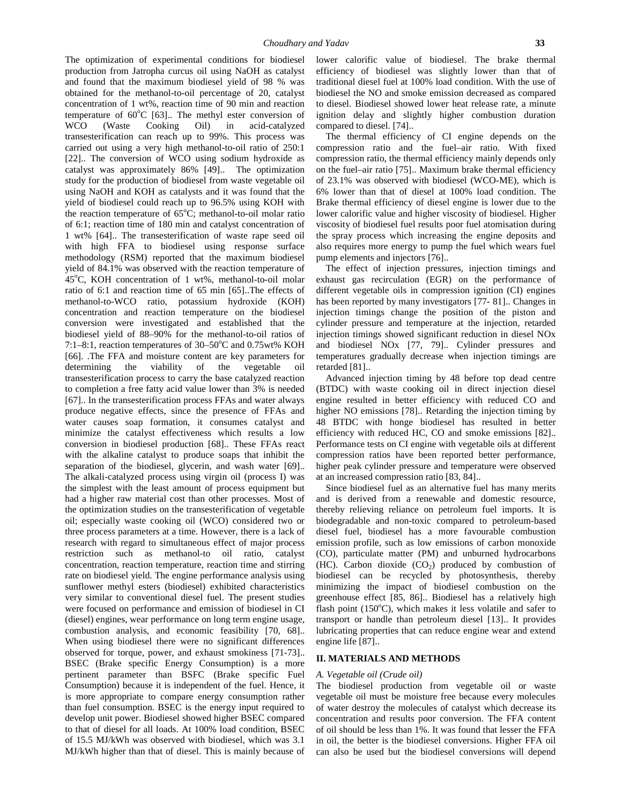The optimization of experimental conditions for biodiesel production from Jatropha curcus oil using NaOH as catalyst and found that the maximum biodiesel yield of 98 % was obtained for the methanol-to-oil percentage of 20, catalyst concentration of 1 wt%, reaction time of 90 min and reaction temperature of  $60^{\circ}$ C [63].. The methyl ester conversion of WCO (Waste Cooking Oil) in acid-catalyzed transesterification can reach up to 99%. This process was carried out using a very high methanol-to-oil ratio of 250:1 [22].. The conversion of WCO using sodium hydroxide as catalyst was approximately 86% [49].. The optimization study for the production of biodiesel from waste vegetable oil using NaOH and KOH as catalysts and it was found that the yield of biodiesel could reach up to 96.5% using KOH with the reaction temperature of  $65^{\circ}$ C; methanol-to-oil molar ratio of 6:1; reaction time of 180 min and catalyst concentration of 1 wt% [64].. The transesterification of waste rape seed oil with high FFA to biodiesel using response surface methodology (RSM) reported that the maximum biodiesel yield of 84.1% was observed with the reaction temperature of 45°C, KOH concentration of 1 wt%, methanol-to-oil molar ratio of 6:1 and reaction time of 65 min [65]..The effects of methanol-to-WCO ratio, potassium hydroxide (KOH) concentration and reaction temperature on the biodiesel conversion were investigated and established that the biodiesel yield of 88–90% for the methanol-to-oil ratios of 7:1–8:1, reaction temperatures of  $30-50^{\circ}$ C and 0.75wt% KOH [66]. .The FFA and moisture content are key parameters for determining the viability of the vegetable oil transesterification process to carry the base catalyzed reaction to completion a free fatty acid value lower than 3% is needed [67].. In the transesterification process FFAs and water always produce negative effects, since the presence of FFAs and water causes soap formation, it consumes catalyst and minimize the catalyst effectiveness which results a low conversion in biodiesel production [68].. These FFAs react with the alkaline catalyst to produce soaps that inhibit the separation of the biodiesel, glycerin, and wash water [69].. The alkali-catalyzed process using virgin oil (process I) was the simplest with the least amount of process equipment but had a higher raw material cost than other processes. Most of the optimization studies on the transesterification of vegetable oil; especially waste cooking oil (WCO) considered two or three process parameters at a time. However, there is a lack of research with regard to simultaneous effect of major process restriction such as methanol-to oil ratio, catalyst concentration, reaction temperature, reaction time and stirring rate on biodiesel yield. The engine performance analysis using sunflower methyl esters (biodiesel) exhibited characteristics very similar to conventional diesel fuel. The present studies were focused on performance and emission of biodiesel in CI (diesel) engines, wear performance on long term engine usage, combustion analysis, and economic feasibility [70, 68].. When using biodiesel there were no significant differences observed for torque, power, and exhaust smokiness [71-73].. BSEC (Brake specific Energy Consumption) is a more pertinent parameter than BSFC (Brake specific Fuel Consumption) because it is independent of the fuel. Hence, it is more appropriate to compare energy consumption rather than fuel consumption. BSEC is the energy input required to develop unit power. Biodiesel showed higher BSEC compared to that of diesel for all loads. At 100% load condition, BSEC of 15.5 MJ/kWh was observed with biodiesel, which was 3.1 MJ/kWh higher than that of diesel. This is mainly because of

efficiency of biodiesel was slightly lower than that of traditional diesel fuel at 100% load condition. With the use of biodiesel the NO and smoke emission decreased as compared to diesel. Biodiesel showed lower heat release rate, a minute ignition delay and slightly higher combustion duration compared to diesel. [74]..

The thermal efficiency of CI engine depends on the compression ratio and the fuel–air ratio. With fixed compression ratio, the thermal efficiency mainly depends only on the fuel–air ratio [75].. Maximum brake thermal efficiency of 23.1% was observed with biodiesel (WCO-ME), which is 6% lower than that of diesel at 100% load condition. The Brake thermal efficiency of diesel engine is lower due to the lower calorific value and higher viscosity of biodiesel. Higher viscosity of biodiesel fuel results poor fuel atomisation during the spray process which increasing the engine deposits and also requires more energy to pump the fuel which wears fuel pump elements and injectors [76]..

The effect of injection pressures, injection timings and exhaust gas recirculation (EGR) on the performance of different vegetable oils in compression ignition (CI) engines has been reported by many investigators [77- 81].. Changes in injection timings change the position of the piston and cylinder pressure and temperature at the injection, retarded injection timings showed significant reduction in diesel NOx and biodiesel NOx [77, 79].. Cylinder pressures and temperatures gradually decrease when injection timings are retarded [81]..

Advanced injection timing by 48 before top dead centre (BTDC) with waste cooking oil in direct injection diesel engine resulted in better efficiency with reduced CO and higher NO emissions [78].. Retarding the injection timing by 48 BTDC with honge biodiesel has resulted in better efficiency with reduced HC, CO and smoke emissions [82].. Performance tests on CI engine with vegetable oils at different compression ratios have been reported better performance, higher peak cylinder pressure and temperature were observed at an increased compression ratio [83, 84]..

Since biodiesel fuel as an alternative fuel has many merits and is derived from a renewable and domestic resource, thereby relieving reliance on petroleum fuel imports. It is biodegradable and non-toxic compared to petroleum-based diesel fuel, biodiesel has a more favourable combustion emission profile, such as low emissions of carbon monoxide (CO), particulate matter (PM) and unburned hydrocarbons (HC). Carbon dioxide  $(CO<sub>2</sub>)$  produced by combustion of biodiesel can be recycled by photosynthesis, thereby minimizing the impact of biodiesel combustion on the greenhouse effect [85, 86].. Biodiesel has a relatively high flash point  $(150^{\circ}C)$ , which makes it less volatile and safer to transport or handle than petroleum diesel [13].. It provides lubricating properties that can reduce engine wear and extend engine life [87]..

# **II. MATERIALS AND METHODS**

#### *A. Vegetable oil(Crude oil)*

The biodiesel production from vegetable oil or waste vegetable oil must be moisture free because every molecules of water destroy the molecules of catalyst which decrease its concentration and results poor conversion. The FFA content of oil should be less than 1%. It was found that lesser the FFA in oil, the better is the biodiesel conversions. Higher FFA oil can also be used but the biodiesel conversions will depend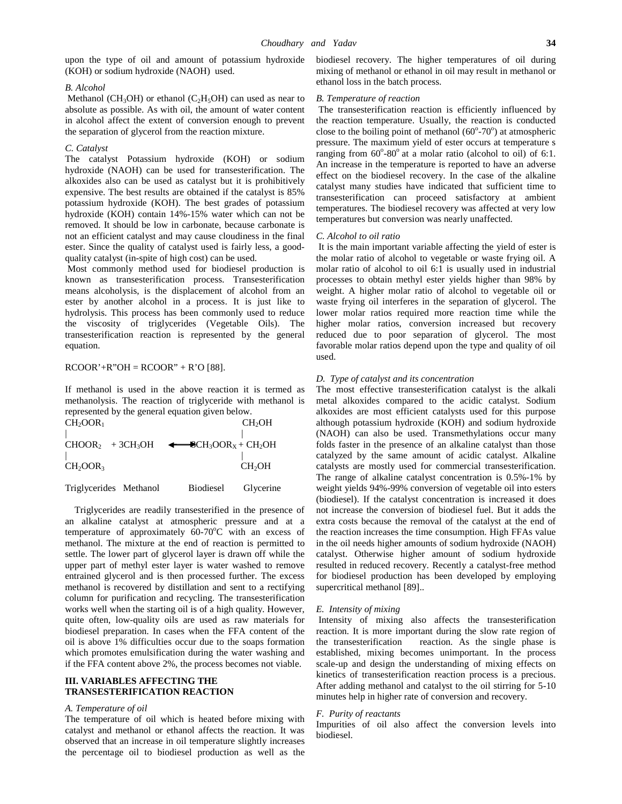upon the type of oil and amount of potassium hydroxide (KOH) or sodium hydroxide (NAOH) used.

#### *B. Alcohol*

Methanol (CH<sub>3</sub>OH) or ethanol (C<sub>2</sub>H<sub>5</sub>OH) can used as near to absolute as possible. As with oil, the amount of water content in alcohol affect the extent of conversion enough to prevent the separation of glycerol from the reaction mixture.

#### *C. Catalyst*

The catalyst Potassium hydroxide (KOH) or sodium hydroxide (NAOH) can be used for transesterification. The alkoxides also can be used as catalyst but it is prohibitively expensive. The best results are obtained if the catalyst is 85% potassium hydroxide (KOH). The best grades of potassium hydroxide (KOH) contain 14%-15% water which can not be removed. It should be low in carbonate, because carbonate is not an efficient catalyst and may cause cloudiness in the final ester. Since the quality of catalyst used is fairly less, a good quality catalyst (in-spite of high cost) can be used.

Most commonly method used for biodiesel production is known as transesterification process. Transesterification means alcoholysis, is the displacement of alcohol from an ester by another alcohol in a process. It is just like to hydrolysis. This process has been commonly used to reduce the viscosity of triglycerides (Vegetable Oils). The transesterification reaction is represented by the general equation.

# $RCOOR'+R''OH = RCOOR'' + R'O [88].$

If methanol is used in the above reaction it is termed as methanolysis. The reaction of triglyceride with methanol is represented by the general equation given below.<br>CHOOP

| CH <sub>2</sub> OOR <sub>1</sub> | CH <sub>2</sub> OH                                                                                  | alth |
|----------------------------------|-----------------------------------------------------------------------------------------------------|------|
|                                  |                                                                                                     | (NA  |
|                                  | $CHOOR_2$ + 3CH <sub>3</sub> OH $\leftarrow$ SCH <sub>3</sub> OOR <sub>X</sub> + CH <sub>2</sub> OH | fold |
|                                  |                                                                                                     | cata |
| CH <sub>2</sub> OOR <sub>3</sub> | CH <sub>2</sub> OH                                                                                  | cata |
|                                  |                                                                                                     | The  |

| Triglycerides Methanol | <b>Biodiesel</b> | Glycerine |  |
|------------------------|------------------|-----------|--|
|------------------------|------------------|-----------|--|

Triglycerides are readily transesterified in the presence of an alkaline catalyst at atmospheric pressure and at a temperature of approximately  $60-70^{\circ}$ C with an excess of methanol. The mixture at the end of reaction is permitted to settle. The lower part of glycerol layer is drawn off while the upper part of methyl ester layer is water washed to remove entrained glycerol and is then processed further. The excess methanol is recovered by distillation and sent to a rectifying column for purification and recycling. The transesterification works well when the starting oil is of a high quality. However, quite often, low-quality oils are used as raw materials for biodiesel preparation. In cases when the FFA content of the oil is above 1% difficulties occur due to the soaps formation which promotes emulsification during the water washing and if the FFA content above 2%, the process becomes not viable.

# **III. VARIABLES AFFECTING THE TRANSESTERIFICATION REACTION**

## *A. Temperature of oil*

The temperature of oil which is heated before mixing with catalyst and methanol or ethanol affects the reaction. It was observed that an increase in oil temperature slightly increases the percentage oil to biodiesel production as well as the

biodiesel recovery. The higher temperatures of oil during mixing of methanol or ethanol in oil may result in methanol or ethanol loss in the batch process.

# *B. Temperature of reaction*

The transesterification reaction is efficiently influenced by the reaction temperature. Usually, the reaction is conducted close to the boiling point of methanol  $(60^{\circ} - 70^{\circ})$  at atmospheric pressure. The maximum yield of ester occurs at temperature s ranging from  $60^{\circ}$ -80 $^{\circ}$  at a molar ratio (alcohol to oil) of 6:1. An increase in the temperature is reported to have an adverse effect on the biodiesel recovery. In the case of the alkaline catalyst many studies have indicated that sufficient time to transesterification can proceed satisfactory at ambient temperatures. The biodiesel recovery was affected at very low temperatures but conversion was nearly unaffected.

#### *C. Alcohol to oil ratio*

It is the main important variable affecting the yield of ester is the molar ratio of alcohol to vegetable or waste frying oil. A molar ratio of alcohol to oil 6:1 is usually used in industrial processes to obtain methyl ester yields higher than 98% by weight. A higher molar ratio of alcohol to vegetable oil or waste frying oil interferes in the separation of glycerol. The lower molar ratios required more reaction time while the higher molar ratios, conversion increased but recovery reduced due to poor separation of glycerol. The most favorable molar ratios depend upon the type and quality of oil used.

# *D. Type of catalyst and its concentration*

The most effective transesterification catalyst is the alkali metal alkoxides compared to the acidic catalyst. Sodium alkoxides are most efficient catalysts used for this purpose although potassium hydroxide (KOH) and sodium hydroxide (NAOH) can also be used. Transmethylations occur many folds faster in the presence of an alkaline catalyst than those catalyzed by the same amount of acidic catalyst. Alkaline catalysts are mostly used for commercial transesterification. The range of alkaline catalyst concentration is 0.5%-1% by weight yields 94%-99% conversion of vegetable oil into esters (biodiesel). If the catalyst concentration is increased it does not increase the conversion of biodiesel fuel. But it adds the extra costs because the removal of the catalyst at the end of the reaction increases the time consumption. High FFAs value in the oil needs higher amounts of sodium hydroxide (NAOH) catalyst. Otherwise higher amount of sodium hydroxide resulted in reduced recovery. Recently a catalyst-free method for biodiesel production has been developed by employing supercritical methanol [89]..

# *E. Intensity of mixing*

Intensity of mixing also affects the transesterification reaction. It is more important during the slow rate region of reaction. As the single phase is established, mixing becomes unimportant. In the process scale-up and design the understanding of mixing effects on kinetics of transesterification reaction process is a precious. After adding methanol and catalyst to the oil stirring for 5-10 minutes help in higher rate of conversion and recovery.

# *F. Purity of reactants*

Impurities of oil also affect the conversion levels into biodiesel.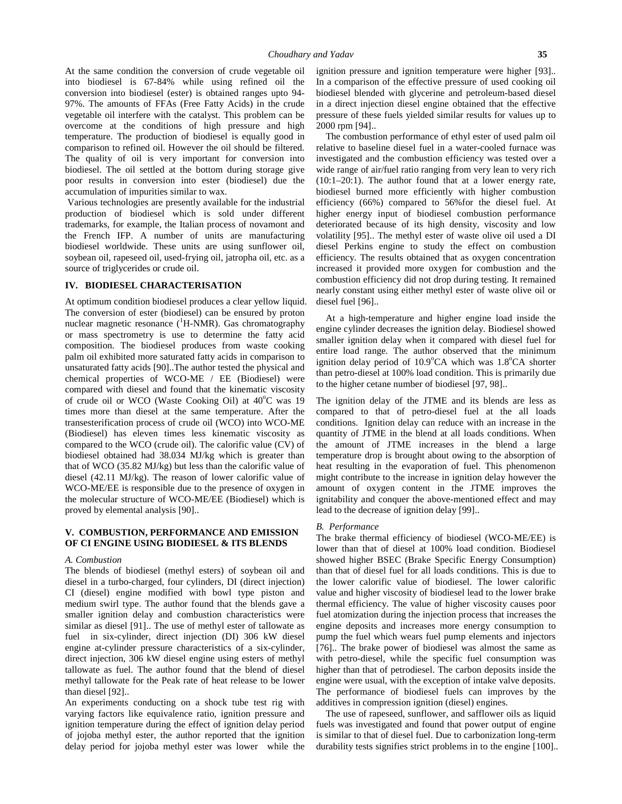At the same condition the conversion of crude vegetable oil into biodiesel is 67-84% while using refined oil the conversion into biodiesel (ester) is obtained ranges upto 94- 97%. The amounts of FFAs (Free Fatty Acids) in the crude vegetable oil interfere with the catalyst. This problem can be overcome at the conditions of high pressure and high temperature. The production of biodiesel is equally good in comparison to refined oil. However the oil should be filtered. The quality of oil is very important for conversion into biodiesel. The oil settled at the bottom during storage give poor results in conversion into ester (biodiesel) due the accumulation of impurities similar to wax.

Various technologies are presently available for the industrial production of biodiesel which is sold under different trademarks, for example, the Italian process of novamont and the French IFP. A number of units are manufacturing biodiesel worldwide. These units are using sunflower oil, soybean oil, rapeseed oil, used-frying oil, jatropha oil, etc. as a source of triglycerides or crude oil.

# **IV. BIODIESEL CHARACTERISATION**

At optimum condition biodiesel produces a clear yellow liquid. The conversion of ester (biodiesel) can be ensured by proton nuclear magnetic resonance  $(^1H-NMR)$ . Gas chromatography or mass spectrometry is use to determine the fatty acid composition. The biodiesel produces from waste cooking palm oil exhibited more saturated fatty acids in comparison to unsaturated fatty acids [90]..The author tested the physical and chemical properties of WCO-ME / EE (Biodiesel) were compared with diesel and found that the kinematic viscosity of crude oil or WCO (Waste Cooking Oil) at 40°C was 19 times more than diesel at the same temperature. After the transesterification process of crude oil (WCO) into WCO-ME (Biodiesel) has eleven times less kinematic viscosity as compared to the WCO (crude oil). The calorific value (CV) of biodiesel obtained had 38.034 MJ/kg which is greater than that of WCO (35.82 MJ/kg) but less than the calorific value of diesel (42.11 MJ/kg). The reason of lower calorific value of WCO-ME/EE is responsible due to the presence of oxygen in the molecular structure of WCO-ME/EE (Biodiesel) which is proved by elemental analysis [90]..

# **V. COMBUSTION, PERFORMANCE AND EMISSION OF CI ENGINE USING BIODIESEL & ITS BLENDS**

#### *A. Combustion*

The blends of biodiesel (methyl esters) of soybean oil and diesel in a turbo-charged, four cylinders, DI (direct injection) CI (diesel) engine modified with bowl type piston and medium swirl type. The author found that the blends gave a smaller ignition delay and combustion characteristics were similar as diesel [91].. The use of methyl ester of tallowate as fuel in six-cylinder, direct injection (DI) 306 kW diesel engine at-cylinder pressure characteristics of a six-cylinder, direct injection, 306 kW diesel engine using esters of methyl tallowate as fuel. The author found that the blend of diesel methyl tallowate for the Peak rate of heat release to be lower than diesel [92]..

An experiments conducting on a shock tube test rig with varying factors like equivalence ratio, ignition pressure and ignition temperature during the effect of ignition delay period of jojoba methyl ester, the author reported that the ignition delay period for jojoba methyl ester was lower while the

ignition pressure and ignition temperature were higher [93].. In a comparison of the effective pressure of used cooking oil biodiesel blended with glycerine and petroleum-based diesel in a direct injection diesel engine obtained that the effective pressure of these fuels yielded similar results for values up to 2000 rpm [94]..

The combustion performance of ethyl ester of used palm oil relative to baseline diesel fuel in a water-cooled furnace was investigated and the combustion efficiency was tested over a wide range of air/fuel ratio ranging from very lean to very rich (10:1–20:1). The author found that at a lower energy rate, biodiesel burned more efficiently with higher combustion efficiency (66%) compared to 56%for the diesel fuel. At higher energy input of biodiesel combustion performance deteriorated because of its high density, viscosity and low volatility [95].. The methyl ester of waste olive oil used a DI diesel Perkins engine to study the effect on combustion efficiency. The results obtained that as oxygen concentration increased it provided more oxygen for combustion and the combustion efficiency did not drop during testing. It remained nearly constant using either methyl ester of waste olive oil or diesel fuel [96]..

At a high-temperature and higher engine load inside the engine cylinder decreases the ignition delay. Biodiesel showed smaller ignition delay when it compared with diesel fuel for entire load range. The author observed that the minimum ignition delay period of  $10.9^{\circ}$ CA which was  $1.8^{\circ}$ CA shorter than petro-diesel at 100% load condition. This is primarily due to the higher cetane number of biodiesel [97, 98]..

The ignition delay of the JTME and its blends are less as compared to that of petro-diesel fuel at the all loads conditions. Ignition delay can reduce with an increase in the quantity of JTME in the blend at all loads conditions. When the amount of JTME increases in the blend a large temperature drop is brought about owing to the absorption of heat resulting in the evaporation of fuel. This phenomenon might contribute to the increase in ignition delay however the amount of oxygen content in the JTME improves the ignitability and conquer the above-mentioned effect and may lead to the decrease of ignition delay [99]..

#### *B. Performance*

The brake thermal efficiency of biodiesel (WCO-ME/EE) is lower than that of diesel at 100% load condition. Biodiesel showed higher BSEC (Brake Specific Energy Consumption) than that of diesel fuel for all loads conditions. This is due to the lower calorific value of biodiesel. The lower calorific value and higher viscosity of biodiesel lead to the lower brake thermal efficiency. The value of higher viscosity causes poor fuel atomization during the injection process that increases the engine deposits and increases more energy consumption to pump the fuel which wears fuel pump elements and injectors [76].. The brake power of biodiesel was almost the same as with petro-diesel, while the specific fuel consumption was higher than that of petrodiesel. The carbon deposits inside the engine were usual, with the exception of intake valve deposits. The performance of biodiesel fuels can improves by the additives in compression ignition (diesel) engines.

The use of rapeseed, sunflower, and safflower oils as liquid fuels was investigated and found that power output of engine is similar to that of diesel fuel. Due to carbonization long-term durability tests signifies strict problems in to the engine [100]..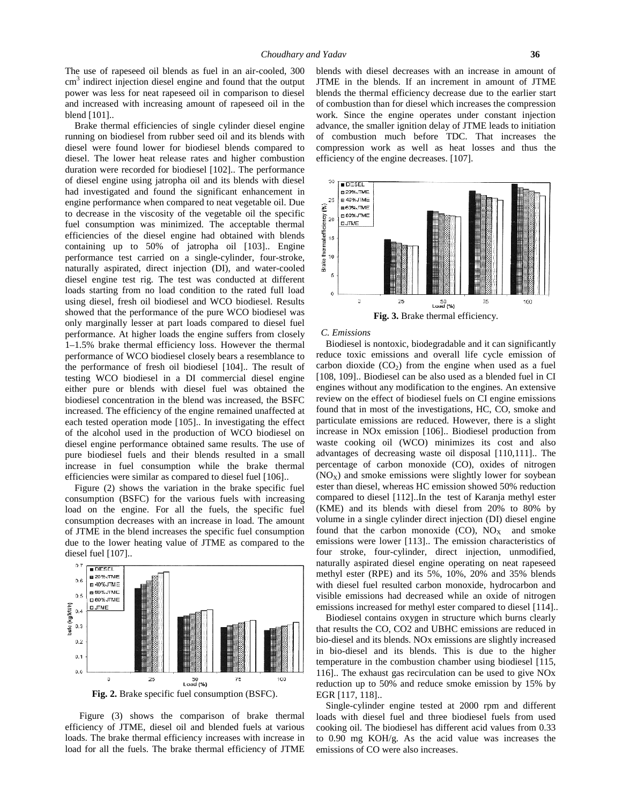The use of rapeseed oil blends as fuel in an air-cooled, 300  $\text{cm}^3$  indirect injection diesel engine and found that the output JT power was less for neat rapeseed oil in comparison to diesel and increased with increasing amount of rapeseed oil in the blend [101]..

Brake thermal efficiencies of single cylinder diesel engine running on biodiesel from rubber seed oil and its blends with diesel were found lower for biodiesel blends compared to diesel. The lower heat release rates and higher combustion duration were recorded for biodiesel [102].. The performance of diesel engine using jatropha oil and its blends with diesel had investigated and found the significant enhancement in  $\frac{25}{18498 \text{ J/m}}$ engine performance when compared to neat vegetable oil. Due to decrease in the viscosity of the vegetable oil the specific  $\sum_{k=1}^{\infty}$ fuel consumption was minimized. The acceptable thermal<br>efficiencies of the diesel engine had obtained with blends<br>containing up to 50% of istrophe cil [103]. Engine efficiencies of the diesel engine had obtained with blends  $\frac{5}{2}$  15 containing up to 50% of jatropha oil  $[103]$ . Engine performance test carried on a single-cylinder, four-stroke,  $\frac{2}{3}$  naturally aspirated, direct injection (DI), and water-cooled naturally aspirated, direct injection (DI), and water-cooled  $\frac{3}{4}$ diesel engine test rig. The test was conducted at different loads starting from no load condition to the rated full load using diesel, fresh oil biodiesel and WCO biodiesel. Results showed that the performance of the pure WCO biodiesel was only marginally lesser at part loads compared to diesel fuel performance. At higher loads the engine suffers from closely 1–1.5% brake thermal efficiency loss. However the thermal performance of WCO biodiesel closely bears a resemblance to the performance of fresh oil biodiesel [104].. The result of testing WCO biodiesel in a DI commercial diesel engine either pure or blends with diesel fuel was obtained the biodiesel concentration in the blend was increased, the BSFC increased. The efficiency of the engine remained unaffected at each tested operation mode [105].. In investigating the effect of the alcohol used in the production of WCO biodiesel on diesel engine performance obtained same results. The use of pure biodiesel fuels and their blends resulted in a small increase in fuel consumption while the brake thermal efficiencies were similar as compared to diesel fuel [106]..

Figure (2) shows the variation in the brake specific fuel consumption (BSFC) for the various fuels with increasing load on the engine. For all the fuels, the specific fuel consumption decreases with an increase in load. The amount of JTME in the blend increases the specific fuel consumption due to the lower heating value of JTME as compared to the diesel fuel [107]..



**Fig. 2.** Brake specific fuel consumption (BSFC).

Figure (3) shows the comparison of brake thermal efficiency of JTME, diesel oil and blended fuels at various loads. The brake thermal efficiency increases with increase in load for all the fuels. The brake thermal efficiency of JTME blends with diesel decreases with an increase in amount of JTME in the blends. If an increment in amount of JTME blends the thermal efficiency decrease due to the earlier start of combustion than for diesel which increases the compression work. Since the engine operates under constant injection advance, the smaller ignition delay of JTME leads to initiation of combustion much before TDC. That increases the compression work as well as heat losses and thus the efficiency of the engine decreases. [107].



*C. Emissions*

Biodiesel is nontoxic, biodegradable and it can significantly reduce toxic emissions and overall life cycle emission of carbon dioxide  $(CO_2)$  from the engine when used as a fuel [108, 109].. Biodiesel can be also used as a blended fuel in CI engines without any modification to the engines. An extensive review on the effect of biodiesel fuels on CI engine emissions found that in most of the investigations, HC, CO, smoke and particulate emissions are reduced. However, there is a slight increase in NOx emission [106].. Biodiesel production from waste cooking oil (WCO) minimizes its cost and also advantages of decreasing waste oil disposal [110,111].. The percentage of carbon monoxide (CO), oxides of nitrogen  $(NO<sub>X</sub>)$  and smoke emissions were slightly lower for soybean ester than diesel, whereas HC emission showed 50% reduction compared to diesel [112]..In the test of Karanja methyl ester (KME) and its blends with diesel from 20% to 80% by volume in a single cylinder direct injection (DI) diesel engine found that the carbon monoxide  $(CO)$ ,  $NO<sub>X</sub>$  and smoke emissions were lower [113].. The emission characteristics of four stroke, four-cylinder, direct injection, unmodified, naturally aspirated diesel engine operating on neat rapeseed methyl ester (RPE) and its 5%, 10%, 20% and 35% blends with diesel fuel resulted carbon monoxide, hydrocarbon and visible emissions had decreased while an oxide of nitrogen emissions increased for methyl ester compared to diesel [114]..

Biodiesel contains oxygen in structure which burns clearly that results the CO, CO2 and UBHC emissions are reduced in bio-diesel and its blends. NOx emissions are slightly increased in bio-diesel and its blends. This is due to the higher temperature in the combustion chamber using biodiesel [115, 116].. The exhaust gas recirculation can be used to give NOx reduction up to 50% and reduce smoke emission by 15% by EGR [117, 118]..

Single-cylinder engine tested at 2000 rpm and different loads with diesel fuel and three biodiesel fuels from used cooking oil. The biodiesel has different acid values from 0.33 to 0.90 mg KOH/g. As the acid value was increases the emissions of CO were also increases.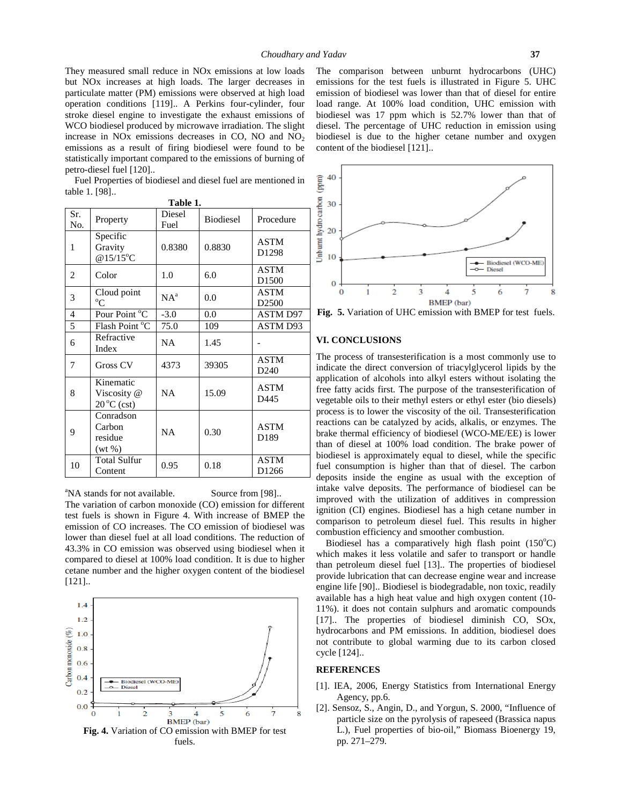They measured small reduce in NOx emissions at low loads but NOx increases at high loads. The larger decreases in particulate matter (PM) emissions were observed at high load operation conditions [119].. A Perkins four-cylinder, four stroke diesel engine to investigate the exhaust emissions of WCO biodiesel produced by microwave irradiation. The slight increase in NO<sub>x</sub> emissions decreases in CO, NO and  $NO<sub>2</sub>$ emissions as a result of firing biodiesel were found to be statistically important compared to the emissions of burning of petro-diesel fuel [120]..

| Fuel Properties of biodiesel and diesel fuel are mentioned in<br>table 1. [98] |                                                  |                |           |                                 |                                                  |  |
|--------------------------------------------------------------------------------|--------------------------------------------------|----------------|-----------|---------------------------------|--------------------------------------------------|--|
| Table 1.                                                                       |                                                  |                |           |                                 |                                                  |  |
| Sr.<br>No.                                                                     | Property                                         | Diesel<br>Fuel | Biodiesel | Procedure                       | 30                                               |  |
| $\mathbf{1}$                                                                   | Specific<br>Gravity<br>@15/15°C                  | 0.8380         | 0.8830    | <b>ASTM</b><br>D1298            | Unburnt hydro carbon<br>20<br>10                 |  |
| 2                                                                              | Color                                            | 1.0            | 6.0       | <b>ASTM</b><br>D1500            | 0                                                |  |
| 3                                                                              | Cloud point<br>$^{\circ}C$                       | $NA^a$         | 0.0       | <b>ASTM</b><br>D2500            | 0                                                |  |
| $\overline{4}$                                                                 | Pour Point °C                                    | $-3.0$         | 0.0       | <b>ASTM D97</b>                 | Fig. 5.                                          |  |
| $\overline{5}$                                                                 | Flash Point $\overline{C}$                       | 75.0           | 109       | <b>ASTM D93</b>                 |                                                  |  |
| 6                                                                              | Refractive<br>Index                              | NA             | 1.45      |                                 | VI. CON                                          |  |
| 7                                                                              | Gross CV                                         | 4373           | 39305     | <b>ASTM</b><br>D <sub>240</sub> | The proc<br>indicate                             |  |
| 8                                                                              | Kinematic<br>Viscosity @<br>$20^{\circ}$ C (cst) | NA             | 15.09     | <b>ASTM</b><br>D445             | applicatio<br>free fatty<br>vegetable            |  |
| 9                                                                              | Conradson<br>Carbon<br>residue<br>$(wt\% )$      | <b>NA</b>      | 0.30      | <b>ASTM</b><br>D189             | process i<br>reactions<br>brake the<br>than of o |  |
| 10                                                                             | <b>Total Sulfur</b><br>Content                   | 0.95           | 0.18      | <b>ASTM</b><br>D1266            | biodiesel<br>fuel con<br>denosits                |  |

<sup>a</sup>NA stands for not available. Source from [98].. The variation of carbon monoxide (CO) emission for different test fuels is shown in Figure 4. With increase of BMEP the emission of CO increases. The CO emission of biodiesel was lower than diesel fuel at all load conditions. The reduction of 43.3% in CO emission was observed using biodiesel when it compared to diesel at 100% load condition. It is due to higher cetane number and the higher oxygen content of the biodiesel [121]..



The comparison between unburnt hydrocarbons (UHC) emissions for the test fuels is illustrated in Figure 5. UHC emission of biodiesel was lower than that of diesel for entire load range. At 100% load condition, UHC emission with biodiesel was 17 ppm which is 52.7% lower than that of diesel. The percentage of UHC reduction in emission using biodiesel is due to the higher cetane number and oxygen content of the biodiesel [121]..



**Fig. 5.** Variation of UHC emission with BMEP for test fuels.

### **VI. CONCLUSIONS**

 $NA$  15.09  $\begin{bmatrix} \text{ASTM} \\ \text{D445} \end{bmatrix}$  free fatty acids first. The purpose of the transesterification of  $NA$   $\begin{array}{|l|l|}$   $\end{array}$   $\begin{array}{|l|}$   $\end{array}$  ASTM brake thermal efficiency of biodiesel (WCO-ME/EE) is lower The process of transesterification is a most commonly use to indicate the direct conversion of triacylglycerol lipids by the application of alcohols into alkyl esters without isolating the vegetable oils to their methyl esters or ethyl ester (bio diesels) process is to lower the viscosity of the oil. Transesterification reactions can be catalyzed by acids, alkalis, or enzymes. The than of diesel at 100% load condition. The brake power of biodiesel is approximately equal to diesel, while the specific fuel consumption is higher than that of diesel. The carbon deposits inside the engine as usual with the exception of intake valve deposits. The performance of biodiesel can be improved with the utilization of additives in compression ignition (CI) engines. Biodiesel has a high cetane number in comparison to petroleum diesel fuel. This results in higher combustion efficiency and smoother combustion.

> Biodiesel has a comparatively high flash point  $(150^{\circ}C)$ which makes it less volatile and safer to transport or handle than petroleum diesel fuel [13].. The properties of biodiesel provide lubrication that can decrease engine wear and increase engine life [90].. Biodiesel is biodegradable, non toxic, readily available has a high heat value and high oxygen content (10- 11%). it does not contain sulphurs and aromatic compounds [17].. The properties of biodiesel diminish CO, SOx, hydrocarbons and PM emissions. In addition, biodiesel does not contribute to global warming due to its carbon closed cycle [124]..

# **REFERENCES**

- [1]. IEA, 2006, Energy Statistics from International Energy Agency, pp.6.
- [2]. Sensoz, S., Angin, D., and Yorgun, S. 2000, "Influence of particle size on the pyrolysis of rapeseed (Brassica napus L.), Fuel properties of bio-oil," Biomass Bioenergy 19, pp. 271–279.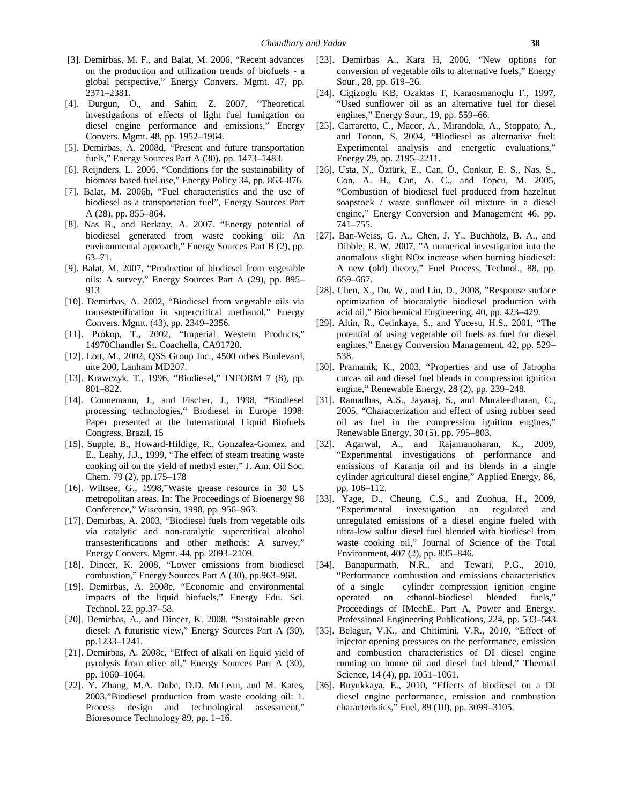- [3]. Demirbas, M. F., and Balat, M. 2006, "Recent advances on the production and utilization trends of biofuels - a global perspective," Energy Convers. Mgmt. 47, pp. 2371–2381.
- [4]. Durgun, O., and Sahin, Z. 2007, "Theoretical investigations of effects of light fuel fumigation on diesel engine performance and emissions," Energy Convers. Mgmt. 48, pp. 1952–1964.
- [5]. Demirbas, A. 2008d, "Present and future transportation fuels," Energy Sources Part A (30), pp. 1473–1483.
- [6]. Reijnders, L. 2006, "Conditions for the sustainability of biomass based fuel use," Energy Policy 34, pp. 863–876.
- [7]. Balat, M. 2006b, "Fuel characteristics and the use of biodiesel as a transportation fuel", Energy Sources Part A (28), pp. 855–864.
- [8]. Nas B., and Berktay, A. 2007. "Energy potential of biodiesel generated from waste cooking oil: An environmental approach," Energy Sources Part B (2), pp. 63–71.
- [9]. Balat, M. 2007, "Production of biodiesel from vegetable oils: A survey," Energy Sources Part A (29), pp. 895– 913
- [10]. Demirbas, A. 2002, "Biodiesel from vegetable oils via transesterification in supercritical methanol," Energy Convers. Mgmt. (43), pp. 2349–2356.
- [11]. Prokop, T., 2002, "Imperial Western Products," 14970Chandler St. Coachella, CA91720.
- [12]. Lott, M., 2002, QSS Group Inc., 4500 orbes Boulevard, uite 200, Lanham MD207.
- [13]. Krawczyk, T., 1996, "Biodiesel," INFORM 7 (8), pp. 801–822.
- [14]. Connemann, J., and Fischer, J., 1998, "Biodiesel processing technologies," Biodiesel in Europe 1998: Paper presented at the International Liquid Biofuels Congress, Brazil, 15
- [15]. Supple, B., Howard-Hildige, R., Gonzalez-Gomez, and E., Leahy, J.J., 1999, "The effect of steam treating waste cooking oil on the yield of methyl ester," J. Am. Oil Soc. Chem. 79 (2), pp.175–178
- [16]. Wiltsee, G., 1998,"Waste grease resource in 30 US metropolitan areas. In: The Proceedings of Bioenergy 98 Conference," Wisconsin, 1998, pp. 956–963.
- [17]. Demirbas, A. 2003, "Biodiesel fuels from vegetable oils via catalytic and non-catalytic supercritical alcohol transesterifications and other methods: A survey," Energy Convers. Mgmt. 44, pp. 2093–2109.
- [18]. Dincer, K. 2008, "Lower emissions from biodiesel combustion," Energy Sources Part A (30), pp.963–968.
- [19]. Demirbas, A. 2008e, "Economic and environmental impacts of the liquid biofuels," Energy Edu. Sci. Technol. 22, pp.37–58.
- [20]. Demirbas, A., and Dincer, K. 2008. "Sustainable green diesel: A futuristic view," Energy Sources Part A (30), pp.1233–1241.
- [21]. Demirbas, A. 2008c, "Effect of alkali on liquid yield of pyrolysis from olive oil," Energy Sources Part A (30), pp. 1060–1064.
- [22]. Y. Zhang, M.A. Dube, D.D. McLean, and M. Kates, 2003,"Biodiesel production from waste cooking oil: 1. Process design and technological assessment," Bioresource Technology 89, pp. 1–16.
- [23]. Demirbas A., Kara H, 2006, "New options for conversion of vegetable oils to alternative fuels," Energy Sour., 28, pp. 619–26.
- [24]. Cigizoglu KB, Ozaktas T, Karaosmanoglu F., 1997, "Used sunflower oil as an alternative fuel for diesel engines," Energy Sour., 19, pp. 559–66.
- [25]. Carraretto, C., Macor, A., Mirandola, A., Stoppato, A., and Tonon, S. 2004, "Biodiesel as alternative fuel: Experimental analysis and energetic evaluations," Energy 29, pp. 2195–2211.
- [26]. Usta, N., Öztürk, E., Can, Ö., Conkur, E. S., Nas, S., Con, A. H., Can, A. C., and Topcu, M. 2005, "Combustion of biodiesel fuel produced from hazelnut soapstock / waste sunflower oil mixture in a diesel engine," Energy Conversion and Management 46, pp. 741–755.
- [27]. Ban-Weiss, G. A., Chen, J. Y., Buchholz, B. A., and Dibble, R. W. 2007, "A numerical investigation into the anomalous slight NOx increase when burning biodiesel: A new (old) theory," Fuel Process, Technol., 88, pp. 659–667.
- [28]. Chen, X., Du, W., and Liu, D., 2008, "Response surface optimization of biocatalytic biodiesel production with acid oil," Biochemical Engineering, 40, pp. 423–429.
- [29]. Altin, R., Cetinkaya, S., and Yucesu, H.S., 2001, "The potential of using vegetable oil fuels as fuel for diesel engines," Energy Conversion Management, 42, pp. 529– 538.
- [30]. Pramanik, K., 2003, "Properties and use of Jatropha curcas oil and diesel fuel blends in compression ignition engine," Renewable Energy, 28 (2), pp. 239–248.
- [31]. Ramadhas, A.S., Jayaraj, S., and Muraleedharan, C., 2005, "Characterization and effect of using rubber seed oil as fuel in the compression ignition engines," Renewable Energy, 30 (5), pp. 795–803.
- [32]. Agarwal, A., and Rajamanoharan, K., 2009, "Experimental investigations of performance and emissions of Karanja oil and its blends in a single cylinder agricultural diesel engine," Applied Energy, 86, pp. 106–112.
- [33]. Yage, D., Cheung, C.S., and Zuohua, H., 2009, "Experimental investigation on regulated and unregulated emissions of a diesel engine fueled with ultra-low sulfur diesel fuel blended with biodiesel from waste cooking oil," Journal of Science of the Total Environment, 407 (2), pp. 835–846.
- [34]. Banapurmath, N.R., and Tewari, P.G., 2010, "Performance combustion and emissions characteristics of a single cylinder compression ignition engine operated on ethanol-biodiesel blended fuels," Proceedings of IMechE, Part A, Power and Energy, Professional Engineering Publications, 224, pp. 533–543.
- [35]. Belagur, V.K., and Chitimini, V.R., 2010, "Effect of injector opening pressures on the performance, emission and combustion characteristics of DI diesel engine running on honne oil and diesel fuel blend," Thermal Science, 14 (4), pp. 1051–1061.
- [36]. Buyukkaya, E., 2010, "Effects of biodiesel on a DI diesel engine performance, emission and combustion characteristics," Fuel, 89 (10), pp. 3099–3105.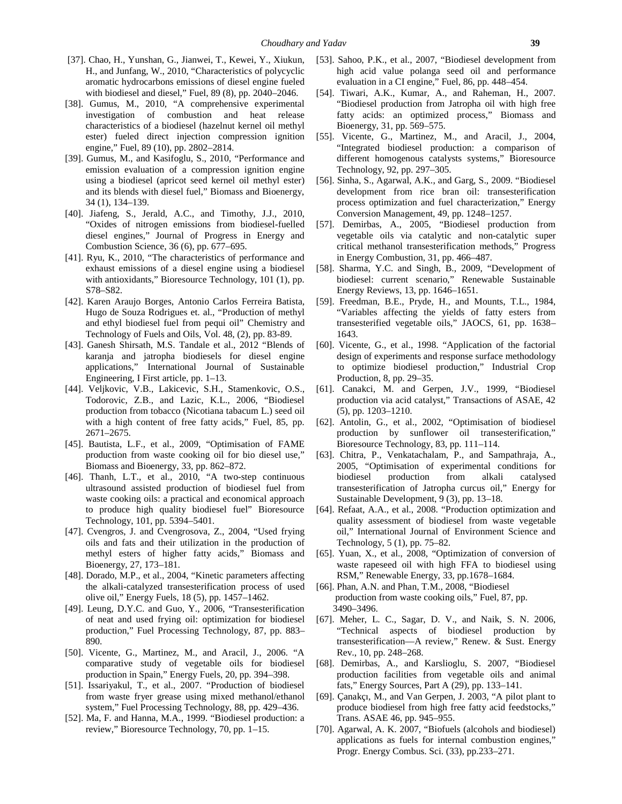- [37]. Chao, H., Yunshan, G., Jianwei, T., Kewei, Y., Xiukun, H., and Junfang, W., 2010, "Characteristics of polycyclic aromatic hydrocarbons emissions of diesel engine fueled with biodiesel and diesel," Fuel, 89 (8), pp. 2040–2046.
- [38]. Gumus, M., 2010, "A comprehensive experimental investigation of combustion and heat release characteristics of a biodiesel (hazelnut kernel oil methyl ester) fueled direct injection compression ignition engine," Fuel, 89 (10), pp. 2802–2814.
- [39]. Gumus, M., and Kasifoglu, S., 2010, "Performance and emission evaluation of a compression ignition engine using a biodiesel (apricot seed kernel oil methyl ester) and its blends with diesel fuel," Biomass and Bioenergy, 34 (1), 134–139.
- [40]. Jiafeng, S., Jerald, A.C., and Timothy, J.J., 2010, "Oxides of nitrogen emissions from biodiesel-fuelled diesel engines," Journal of Progress in Energy and Combustion Science, 36 (6), pp. 677–695.
- [41]. Ryu, K., 2010, "The characteristics of performance and exhaust emissions of a diesel engine using a biodiesel with antioxidants," Bioresource Technology, 101 (1), pp. S78–S82.
- [42]. Karen Araujo Borges, Antonio Carlos Ferreira Batista, Hugo de Souza Rodrigues et. al., "Production of methyl and ethyl biodiesel fuel from pequi oil" Chemistry and Technology of Fuels and Oils, Vol. 48, (2), pp. 83-89.
- [43]. Ganesh Shirsath, M.S. Tandale et al., 2012 "Blends of karanja and jatropha biodiesels for diesel engine applications," International Journal of Sustainable Engineering, I First article, pp. 1–13.
- [44]. Veljkovic, V.B., Lakicevic, S.H., Stamenkovic, O.S., Todorovic, Z.B., and Lazic, K.L., 2006, "Biodiesel production from tobacco (Nicotiana tabacum L.) seed oil with a high content of free fatty acids," Fuel, 85, pp. 2671–2675.
- [45]. Bautista, L.F., et al., 2009, "Optimisation of FAME production from waste cooking oil for bio diesel use," Biomass and Bioenergy, 33, pp. 862–872.
- [46]. Thanh, L.T., et al., 2010, "A two-step continuous ultrasound assisted production of biodiesel fuel from waste cooking oils: a practical and economical approach to produce high quality biodiesel fuel" Bioresource Technology, 101, pp. 5394–5401.
- [47]. Cvengros, J. and Cvengrosova, Z., 2004, "Used frying oils and fats and their utilization in the production of methyl esters of higher fatty acids," Biomass and Bioenergy, 27, 173–181.
- [48]. Dorado, M.P., et al., 2004, "Kinetic parameters affecting the alkali-catalyzed transesterification process of used olive oil," Energy Fuels, 18 (5), pp. 1457–1462.
- [49]. Leung, D.Y.C. and Guo, Y., 2006, "Transesterification of neat and used frying oil: optimization for biodiesel production," Fuel Processing Technology, 87, pp. 883– 890.
- [50]. Vicente, G., Martinez, M., and Aracil, J., 2006. "A comparative study of vegetable oils for biodiesel production in Spain," Energy Fuels, 20, pp. 394–398.
- [51]. Issariyakul, T., et al., 2007. "Production of biodiesel from waste fryer grease using mixed methanol/ethanol system," Fuel Processing Technology, 88, pp. 429–436.
- [52]. Ma, F. and Hanna, M.A., 1999. "Biodiesel production: a review," Bioresource Technology, 70, pp. 1–15.
- [53]. Sahoo, P.K., et al., 2007, "Biodiesel development from high acid value polanga seed oil and performance evaluation in a CI engine," Fuel, 86, pp. 448–454.
- [54]. Tiwari, A.K., Kumar, A., and Raheman, H., 2007. "Biodiesel production from Jatropha oil with high free fatty acids: an optimized process," Biomass and Bioenergy, 31, pp. 569–575.
- [55]. Vicente, G., Martinez, M., and Aracil, J., 2004, "Integrated biodiesel production: a comparison of different homogenous catalysts systems," Bioresource Technology, 92, pp. 297–305.
- [56]. Sinha, S., Agarwal, A.K., and Garg, S., 2009. "Biodiesel development from rice bran oil: transesterification process optimization and fuel characterization," Energy Conversion Management, 49, pp. 1248–1257.
- [57]. Demirbas, A., 2005, "Biodiesel production from vegetable oils via catalytic and non-catalytic super critical methanol transesterification methods," Progress in Energy Combustion, 31, pp. 466–487.
- [58]. Sharma, Y.C. and Singh, B., 2009, "Development of biodiesel: current scenario," Renewable Sustainable Energy Reviews, 13, pp. 1646–1651.
- [59]. Freedman, B.E., Pryde, H., and Mounts, T.L., 1984, "Variables affecting the yields of fatty esters from transesterified vegetable oils," JAOCS, 61, pp. 1638– 1643.
- [60]. Vicente, G., et al., 1998. "Application of the factorial design of experiments and response surface methodology to optimize biodiesel production," Industrial Crop Production, 8, pp. 29–35.
- [61]. Canakci, M. and Gerpen, J.V., 1999, "Biodiesel production via acid catalyst," Transactions of ASAE, 42 (5), pp. 1203–1210.
- [62]. Antolin, G., et al., 2002, "Optimisation of biodiesel production by sunflower oil transesterification," Bioresource Technology, 83, pp. 111–114.
- [63]. Chitra, P., Venkatachalam, P., and Sampathraja, A., 2005, "Optimisation of experimental conditions for biodiesel production from alkali catalysed transesterification of Jatropha curcus oil," Energy for Sustainable Development, 9 (3), pp. 13–18.
- [64]. Refaat, A.A., et al., 2008. "Production optimization and quality assessment of biodiesel from waste vegetable oil," International Journal of Environment Science and Technology, 5 (1), pp. 75–82.
- [65]. Yuan, X., et al., 2008, "Optimization of conversion of waste rapeseed oil with high FFA to biodiesel using RSM," Renewable Energy, 33, pp.1678–1684.
- [66]. Phan, A.N. and Phan, T.M., 2008, "Biodiesel production from waste cooking oils," Fuel, 87, pp. 3490–3496.
- [67]. Meher, L. C., Sagar, D. V., and Naik, S. N. 2006, "Technical aspects of biodiesel production by transesterification—A review," Renew. & Sust. Energy Rev., 10, pp. 248–268.
- [68]. Demirbas, A., and Karslioglu, S. 2007, "Biodiesel production facilities from vegetable oils and animal fats," Energy Sources, Part A (29), pp. 133–141.
- [69]. Çanakçı, M., and Van Gerpen, J. 2003, "A pilot plant to produce biodiesel from high free fatty acid feedstocks," Trans. ASAE 46, pp. 945–955.
- [70]. Agarwal, A. K. 2007, "Biofuels (alcohols and biodiesel) applications as fuels for internal combustion engines," Progr. Energy Combus. Sci. (33), pp.233–271.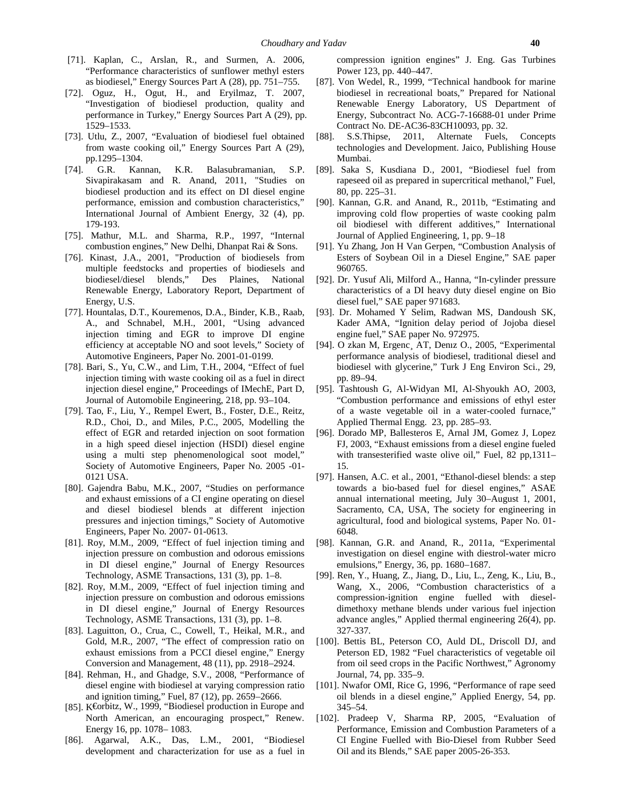- [71]. Kaplan, C., Arslan, R., and Surmen, A. 2006, "Performance characteristics of sunflower methyl esters as biodiesel," Energy Sources Part A (28), pp. 751–755.
- [72]. Oguz, H., Ogut, H., and Eryilmaz, T. 2007, "Investigation of biodiesel production, quality and performance in Turkey," Energy Sources Part A (29), pp. 1529–1533.
- [73]. Utlu, Z., 2007, "Evaluation of biodiesel fuel obtained [88]. from waste cooking oil," Energy Sources Part A (29), pp.1295–1304.
- [74]. G.R. Kannan, K.R. Balasubramanian, S.P. Sivapirakasam and R. Anand, 2011, "Studies on biodiesel production and its effect on DI diesel engine performance, emission and combustion characteristics," International Journal of Ambient Energy, 32 (4), pp. 179-193.
- [75]. Mathur, M.L. and Sharma, R.P., 1997, "Internal combustion engines," New Delhi, Dhanpat Rai & Sons.
- [76]. Kinast, J.A., 2001, "Production of biodiesels from multiple feedstocks and properties of biodiesels and biodiesel/diesel blends," Des Plaines, National Renewable Energy, Laboratory Report, Department of Energy, U.S.
- [77]. Hountalas, D.T., Kouremenos, D.A., Binder, K.B., Raab, A., and Schnabel, M.H., 2001, "Using advanced injection timing and EGR to improve DI engine efficiency at acceptable NO and soot levels," Society of Automotive Engineers, Paper No. 2001-01-0199.
- [78]. Bari, S., Yu, C.W., and Lim, T.H., 2004, "Effect of fuel injection timing with waste cooking oil as a fuel in direct injection diesel engine," Proceedings of IMechE, Part D, Journal of Automobile Engineering, 218, pp. 93–104.
- [79]. Tao, F., Liu, Y., Rempel Ewert, B., Foster, D.E., Reitz, R.D., Choi, D., and Miles, P.C., 2005, Modelling the effect of EGR and retarded injection on soot formation in a high speed diesel injection (HSDI) diesel engine using a multi step phenomenological soot model," Society of Automotive Engineers, Paper No. 2005 -01- 0121 USA.
- [80]. Gajendra Babu, M.K., 2007, "Studies on performance and exhaust emissions of a CI engine operating on diesel and diesel biodiesel blends at different injection pressures and injection timings," Society of Automotive Engineers, Paper No. 2007- 01-0613.
- [81]. Roy, M.M., 2009, "Effect of fuel injection timing and injection pressure on combustion and odorous emissions in DI diesel engine," Journal of Energy Resources Technology, ASME Transactions, 131 (3), pp. 1–8.
- [82]. Roy, M.M., 2009, "Effect of fuel injection timing and injection pressure on combustion and odorous emissions in DI diesel engine," Journal of Energy Resources Technology, ASME Transactions, 131 (3), pp. 1–8.
- [83]. Laguitton, O., Crua, C., Cowell, T., Heikal, M.R., and Gold, M.R., 2007, "The effect of compression ratio on exhaust emissions from a PCCI diesel engine," Energy Conversion and Management, 48 (11), pp. 2918–2924.
- [84]. Rehman, H., and Ghadge, S.V., 2008, "Performance of diesel engine with biodiesel at varying compression ratio and ignition timing," Fuel, 87 (12), pp. 2659–2666.
- [85]. K€orbitz, W., 1999, "Biodiesel production in Europe and North American, an encouraging prospect," Renew. Energy 16, pp. 1078– 1083.
- [86]. Agarwal, A.K., Das, L.M., 2001, "Biodiesel development and characterization for use as a fuel in

compression ignition engines" J. Eng. Gas Turbines Power 123, pp. 440–447.

- [87]. Von Wedel, R., 1999, "Technical handbook for marine biodiesel in recreational boats," Prepared for National Renewable Energy Laboratory, US Department of Energy, Subcontract No. ACG-7-16688-01 under Prime Contract No. DE-AC36-83CH10093, pp. 32.
- S.S.Thipse, 2011, Alternate Fuels, Concepts technologies and Development. Jaico, Publishing House Mumbai.
- [89]. Saka S, Kusdiana D., 2001, "Biodiesel fuel from rapeseed oil as prepared in supercritical methanol," Fuel, 80, pp. 225–31.
- [90]. Kannan, G.R. and Anand, R., 2011b, "Estimating and improving cold flow properties of waste cooking palm oil biodiesel with different additives," International Journal of Applied Engineering, 1, pp. 9–18
- [91]. Yu Zhang, Jon H Van Gerpen, "Combustion Analysis of Esters of Soybean Oil in a Diesel Engine," SAE paper 960765.
- [92]. Dr. Yusuf Ali, Milford A., Hanna, "In-cylinder pressure characteristics of a DI heavy duty diesel engine on Bio diesel fuel," SAE paper 971683.
- [93]. Dr. Mohamed Y Selim, Radwan MS, Dandoush SK, Kader AMA, "Ignition delay period of Jojoba diesel engine fuel," SAE paper No. 972975.
- [94]. O zkan M, Ergenc¸ AT, Denız O., 2005, "Experimental performance analysis of biodiesel, traditional diesel and biodiesel with glycerine," Turk J Eng Environ Sci., 29, pp. 89–94.
- [95]. Tashtoush G, Al-Widyan MI, Al-Shyoukh AO, 2003, "Combustion performance and emissions of ethyl ester of a waste vegetable oil in a water-cooled furnace," Applied Thermal Engg. 23, pp. 285–93.
- [96]. Dorado MP, Ballesteros E, Arnal JM, Gomez J, Lopez FJ, 2003, "Exhaust emissions from a diesel engine fueled with transesterified waste olive oil," Fuel, 82 pp, 1311– 15.
- [97]. Hansen, A.C. et al., 2001, "Ethanol-diesel blends: a step towards a bio-based fuel for diesel engines," ASAE annual international meeting, July 30–August 1, 2001, Sacramento, CA, USA, The society for engineering in agricultural, food and biological systems, Paper No. 01- 6048.
- [98]. Kannan, G.R. and Anand, R., 2011a, "Experimental investigation on diesel engine with diestrol-water micro emulsions," Energy, 36, pp. 1680–1687.
- [99]. Ren, Y., Huang, Z., Jiang, D., Liu, L., Zeng, K., Liu, B., Wang, X., 2006, "Combustion characteristics of a compression-ignition engine fuelled with diesel dimethoxy methane blends under various fuel injection advance angles," Applied thermal engineering 26(4), pp. 327-337.
- [100]. Bettis BL, Peterson CO, Auld DL, Driscoll DJ, and Peterson ED, 1982 "Fuel characteristics of vegetable oil from oil seed crops in the Pacific Northwest," Agronomy Journal, 74, pp. 335–9.
- [101]. Nwafor OMI, Rice G, 1996, "Performance of rape seed oil blends in a diesel engine," Applied Energy, 54, pp. 345–54.
- [102]. Pradeep V, Sharma RP, 2005, "Evaluation of Performance, Emission and Combustion Parameters of a CI Engine Fuelled with Bio-Diesel from Rubber Seed Oil and its Blends," SAE paper 2005-26-353.